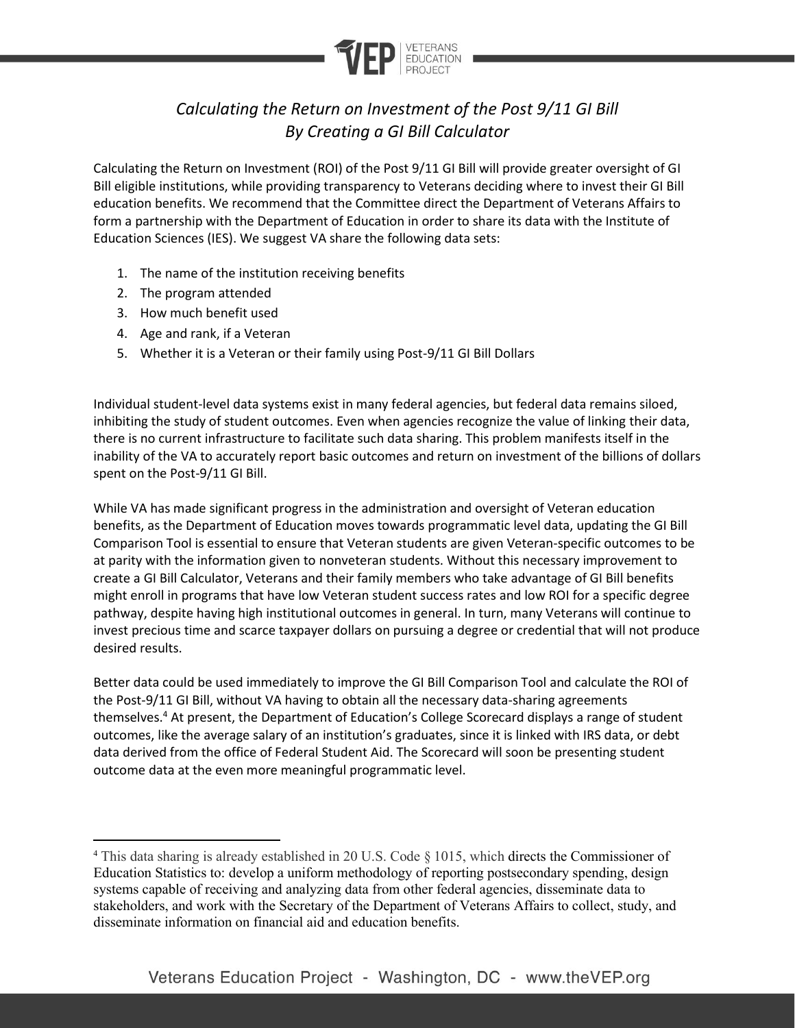

## *Calculating the Return on Investment of the Post 9/11 GI Bill By Creating a GI Bill Calculator*

Calculating the Return on Investment (ROI) of the Post 9/11 GI Bill will provide greater oversight of GI Bill eligible institutions, while providing transparency to Veterans deciding where to invest their GI Bill education benefits. We recommend that the Committee direct the Department of Veterans Affairs to form a partnership with the Department of Education in order to share its data with the Institute of Education Sciences (IES). We suggest VA share the following data sets:

- 1. The name of the institution receiving benefits
- 2. The program attended
- 3. How much benefit used
- 4. Age and rank, if a Veteran
- 5. Whether it is a Veteran or their family using Post-9/11 GI Bill Dollars

Individual student-level data systems exist in many federal agencies, but federal data remains siloed, inhibiting the study of student outcomes. Even when agencies recognize the value of linking their data, there is no current infrastructure to facilitate such data sharing. This problem manifests itself in the inability of the VA to accurately report basic outcomes and return on investment of the billions of dollars spent on the Post-9/11 GI Bill.

While VA has made significant progress in the administration and oversight of Veteran education benefits, as the Department of Education moves towards programmatic level data, updating the GI Bill Comparison Tool is essential to ensure that Veteran students are given Veteran-specific outcomes to be at parity with the information given to nonveteran students. Without this necessary improvement to create a GI Bill Calculator, Veterans and their family members who take advantage of GI Bill benefits might enroll in programs that have low Veteran student success rates and low ROI for a specific degree pathway, despite having high institutional outcomes in general. In turn, many Veterans will continue to invest precious time and scarce taxpayer dollars on pursuing a degree or credential that will not produce desired results.

Better data could be used immediately to improve the GI Bill Comparison Tool and calculate the ROI of the Post-9/11 GI Bill, without VA having to obtain all the necessary data-sharing agreements themselves.<sup>4</sup> At present, the Department of Education's College Scorecard displays a range of student outcomes, like the average salary of an institution's graduates, since it is linked with IRS data, or debt data derived from the office of Federal Student Aid. The Scorecard will soon be presenting student outcome data at the even more meaningful programmatic level.

<sup>4</sup> This data sharing is already established in 20 U.S. Code § 1015, which directs the Commissioner of Education Statistics to: develop a uniform methodology of reporting postsecondary spending, design systems capable of receiving and analyzing data from other federal agencies, disseminate data to stakeholders, and work with the Secretary of the Department of Veterans Affairs to collect, study, and disseminate information on financial aid and education benefits.